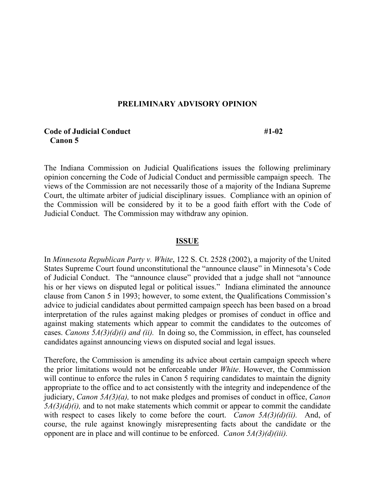### **PRELIMINARY ADVISORY OPINION**

## **Code of Judicial Conduct** #1-02  **Canon 5**

The Indiana Commission on Judicial Qualifications issues the following preliminary opinion concerning the Code of Judicial Conduct and permissible campaign speech. The views of the Commission are not necessarily those of a majority of the Indiana Supreme Court, the ultimate arbiter of judicial disciplinary issues. Compliance with an opinion of the Commission will be considered by it to be a good faith effort with the Code of Judicial Conduct. The Commission may withdraw any opinion.

#### **ISSUE**

In *Minnesota Republican Party v. White*, 122 S. Ct. 2528 (2002), a majority of the United States Supreme Court found unconstitutional the "announce clause" in Minnesota's Code of Judicial Conduct. The "announce clause" provided that a judge shall not "announce his or her views on disputed legal or political issues." Indiana eliminated the announce clause from Canon 5 in 1993; however, to some extent, the Qualifications Commission's advice to judicial candidates about permitted campaign speech has been based on a broad interpretation of the rules against making pledges or promises of conduct in office and against making statements which appear to commit the candidates to the outcomes of cases. *Canons 5A(3)(d)(i) and (ii).* In doing so, the Commission, in effect, has counseled candidates against announcing views on disputed social and legal issues.

Therefore, the Commission is amending its advice about certain campaign speech where the prior limitations would not be enforceable under *White*. However, the Commission will continue to enforce the rules in Canon 5 requiring candidates to maintain the dignity appropriate to the office and to act consistently with the integrity and independence of the judiciary, *Canon 5A(3)(a),* to not make pledges and promises of conduct in office, *Canon 5A(3)(d)(i),* and to not make statements which commit or appear to commit the candidate with respect to cases likely to come before the court. *Canon 5A(3)(d)(ii).* And, of course, the rule against knowingly misrepresenting facts about the candidate or the opponent are in place and will continue to be enforced. *Canon 5A(3)(d)(iii).*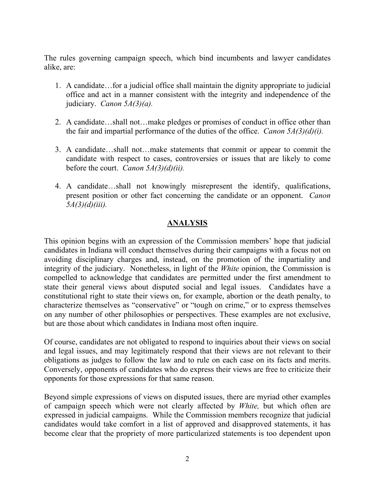The rules governing campaign speech, which bind incumbents and lawyer candidates alike, are:

- 1. A candidate…for a judicial office shall maintain the dignity appropriate to judicial office and act in a manner consistent with the integrity and independence of the judiciary. *Canon 5A(3)(a).*
- 2. A candidate…shall not…make pledges or promises of conduct in office other than the fair and impartial performance of the duties of the office. *Canon 5A(3)(d)(i).*
- 3. A candidate…shall not…make statements that commit or appear to commit the candidate with respect to cases, controversies or issues that are likely to come before the court. *Canon 5A(3)(d)(ii).*
- 4. A candidate…shall not knowingly misrepresent the identify, qualifications, present position or other fact concerning the candidate or an opponent. *Canon 5A(3)(d)(iii).*

# **ANALYSIS**

This opinion begins with an expression of the Commission members' hope that judicial candidates in Indiana will conduct themselves during their campaigns with a focus not on avoiding disciplinary charges and, instead, on the promotion of the impartiality and integrity of the judiciary. Nonetheless, in light of the *White* opinion, the Commission is compelled to acknowledge that candidates are permitted under the first amendment to state their general views about disputed social and legal issues. Candidates have a constitutional right to state their views on, for example, abortion or the death penalty, to characterize themselves as "conservative" or "tough on crime," or to express themselves on any number of other philosophies or perspectives. These examples are not exclusive, but are those about which candidates in Indiana most often inquire.

Of course, candidates are not obligated to respond to inquiries about their views on social and legal issues, and may legitimately respond that their views are not relevant to their obligations as judges to follow the law and to rule on each case on its facts and merits. Conversely, opponents of candidates who do express their views are free to criticize their opponents for those expressions for that same reason.

Beyond simple expressions of views on disputed issues, there are myriad other examples of campaign speech which were not clearly affected by *White,* but which often are expressed in judicial campaigns. While the Commission members recognize that judicial candidates would take comfort in a list of approved and disapproved statements, it has become clear that the propriety of more particularized statements is too dependent upon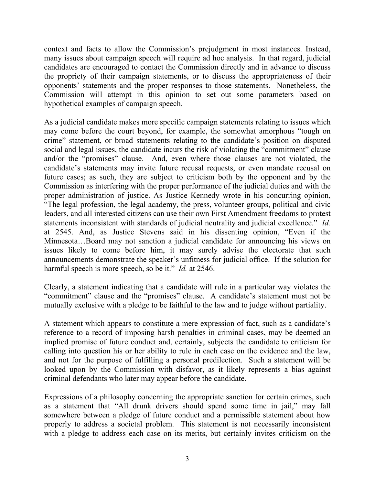context and facts to allow the Commission's prejudgment in most instances. Instead, many issues about campaign speech will require ad hoc analysis. In that regard, judicial candidates are encouraged to contact the Commission directly and in advance to discuss the propriety of their campaign statements, or to discuss the appropriateness of their opponents' statements and the proper responses to those statements. Nonetheless, the Commission will attempt in this opinion to set out some parameters based on hypothetical examples of campaign speech.

As a judicial candidate makes more specific campaign statements relating to issues which may come before the court beyond, for example, the somewhat amorphous "tough on crime" statement, or broad statements relating to the candidate's position on disputed social and legal issues, the candidate incurs the risk of violating the "commitment" clause and/or the "promises" clause. And, even where those clauses are not violated, the candidate's statements may invite future recusal requests, or even mandate recusal on future cases; as such, they are subject to criticism both by the opponent and by the Commission as interfering with the proper performance of the judicial duties and with the proper administration of justice. As Justice Kennedy wrote in his concurring opinion, "The legal profession, the legal academy, the press, volunteer groups, political and civic leaders, and all interested citizens can use their own First Amendment freedoms to protest statements inconsistent with standards of judicial neutrality and judicial excellence." *Id.* at 2545. And, as Justice Stevens said in his dissenting opinion, "Even if the Minnesota…Board may not sanction a judicial candidate for announcing his views on issues likely to come before him, it may surely advise the electorate that such announcements demonstrate the speaker's unfitness for judicial office. If the solution for harmful speech is more speech, so be it." *Id.* at 2546.

Clearly, a statement indicating that a candidate will rule in a particular way violates the "commitment" clause and the "promises" clause. A candidate's statement must not be mutually exclusive with a pledge to be faithful to the law and to judge without partiality.

A statement which appears to constitute a mere expression of fact, such as a candidate's reference to a record of imposing harsh penalties in criminal cases, may be deemed an implied promise of future conduct and, certainly, subjects the candidate to criticism for calling into question his or her ability to rule in each case on the evidence and the law, and not for the purpose of fulfilling a personal predilection. Such a statement will be looked upon by the Commission with disfavor, as it likely represents a bias against criminal defendants who later may appear before the candidate.

Expressions of a philosophy concerning the appropriate sanction for certain crimes, such as a statement that "All drunk drivers should spend some time in jail," may fall somewhere between a pledge of future conduct and a permissible statement about how properly to address a societal problem. This statement is not necessarily inconsistent with a pledge to address each case on its merits, but certainly invites criticism on the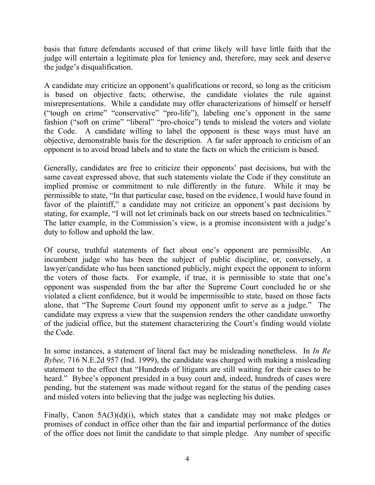basis that future defendants accused of that crime likely will have little faith that the judge will entertain a legitimate plea for leniency and, therefore, may seek and deserve the judge's disqualification.

A candidate may criticize an opponent's qualifications or record, so long as the criticism is based on objective facts; otherwise, the candidate violates the rule against misrepresentations. While a candidate may offer characterizations of himself or herself ("tough on crime" "conservative" "pro-life"), labeling one's opponent in the same fashion ("soft on crime" "liberal" "pro-choice") tends to mislead the voters and violate the Code. A candidate willing to label the opponent is these ways must have an objective, demonstrable basis for the description. A far safer approach to criticism of an opponent is to avoid broad labels and to state the facts on which the criticism is based.

Generally, candidates are free to criticize their opponents' past decisions, but with the same caveat expressed above, that such statements violate the Code if they constitute an implied promise or commitment to rule differently in the future. While it may be permissible to state, "In that particular case, based on the evidence, I would have found in favor of the plaintiff," a candidate may not criticize an opponent's past decisions by stating, for example, "I will not let criminals back on our streets based on technicalities." The latter example, in the Commission's view, is a promise inconsistent with a judge's duty to follow and uphold the law.

Of course, truthful statements of fact about one's opponent are permissible. An incumbent judge who has been the subject of public discipline, or, conversely, a lawyer/candidate who has been sanctioned publicly, might expect the opponent to inform the voters of those facts. For example, if true, it is permissible to state that one's opponent was suspended from the bar after the Supreme Court concluded he or she violated a client confidence, but it would be impermissible to state, based on those facts alone, that "The Supreme Court found my opponent unfit to serve as a judge." The candidate may express a view that the suspension renders the other candidate unworthy of the judicial office, but the statement characterizing the Court's finding would violate the Code.

In some instances, a statement of literal fact may be misleading nonetheless. In *In Re Bybee,* 716 N.E.2d 957 (Ind. 1999), the candidate was charged with making a misleading statement to the effect that "Hundreds of litigants are still waiting for their cases to be heard." Bybee's opponent presided in a busy court and, indeed, hundreds of cases were pending, but the statement was made without regard for the status of the pending cases and misled voters into believing that the judge was neglecting his duties.

Finally, Canon 5A(3)(d)(i), which states that a candidate may not make pledges or promises of conduct in office other than the fair and impartial performance of the duties of the office does not limit the candidate to that simple pledge. Any number of specific